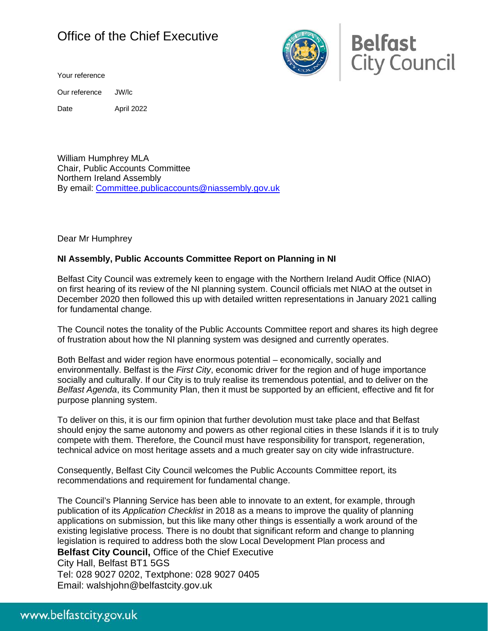## Office of the Chief Executive

Your reference

Our reference JW/lc

Date April 2022

William Humphrey MLA Chair, Public Accounts Committee Northern Ireland Assembly By email: [Committee.publicaccounts@niassembly.gov.uk](mailto:Committee.publicaccounts@niassembly.gov.uk)

Dear Mr Humphrey

## **NI Assembly, Public Accounts Committee Report on Planning in NI**

Belfast City Council was extremely keen to engage with the Northern Ireland Audit Office (NIAO) on first hearing of its review of the NI planning system. Council officials met NIAO at the outset in December 2020 then followed this up with detailed written representations in January 2021 calling for fundamental change.

The Council notes the tonality of the Public Accounts Committee report and shares its high degree of frustration about how the NI planning system was designed and currently operates.

Both Belfast and wider region have enormous potential – economically, socially and environmentally. Belfast is the *First City*, economic driver for the region and of huge importance socially and culturally. If our City is to truly realise its tremendous potential, and to deliver on the *Belfast Agenda*, its Community Plan, then it must be supported by an efficient, effective and fit for purpose planning system.

To deliver on this, it is our firm opinion that further devolution must take place and that Belfast should enjoy the same autonomy and powers as other regional cities in these Islands if it is to truly compete with them. Therefore, the Council must have responsibility for transport, regeneration, technical advice on most heritage assets and a much greater say on city wide infrastructure.

Consequently, Belfast City Council welcomes the Public Accounts Committee report, its recommendations and requirement for fundamental change.

The Council's Planning Service has been able to innovate to an extent, for example, through publication of its *Application Checklist* in 2018 as a means to improve the quality of planning applications on submission, but this like many other things is essentially a work around of the existing legislative process. There is no doubt that significant reform and change to planning legislation is required to address both the slow Local Development Plan process and

**Belfast City Council,** Office of the Chief Executive

City Hall, Belfast BT1 5GS Tel: 028 9027 0202, Textphone: 028 9027 0405 Email: walshjohn@belfastcity.gov.uk



**Belfast City Council**